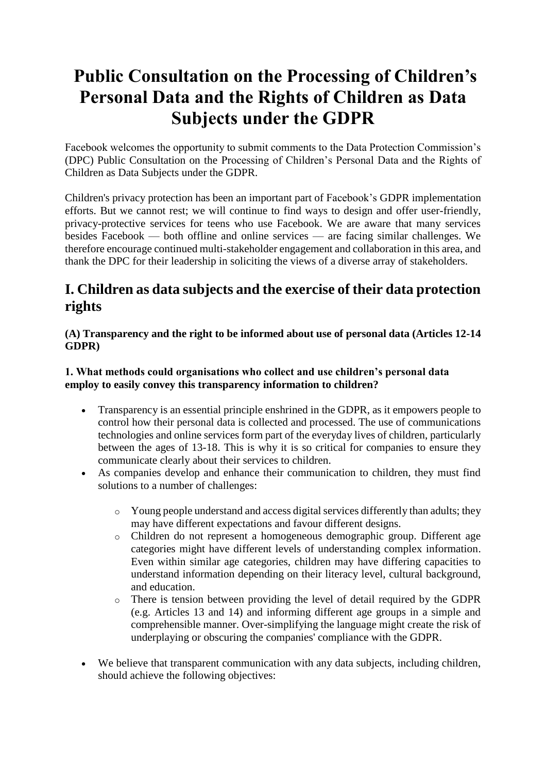# **Public Consultation on the Processing of Children's Personal Data and the Rights of Children as Data Subjects under the GDPR**

Facebook welcomes the opportunity to submit comments to the Data Protection Commission's (DPC) Public Consultation on the Processing of Children's Personal Data and the Rights of Children as Data Subjects under the GDPR.

Children's privacy protection has been an important part of Facebook's GDPR implementation efforts. But we cannot rest; we will continue to find ways to design and offer user-friendly, privacy-protective services for teens who use Facebook. We are aware that many services besides Facebook — both offline and online services — are facing similar challenges. We therefore encourage continued multi-stakeholder engagement and collaboration in this area, and thank the DPC for their leadership in soliciting the views of a diverse array of stakeholders.

# **I. Children as data subjects and the exercise of their data protection rights**

### **(A) Transparency and the right to be informed about use of personal data (Articles 12-14 GDPR)**

### **1. What methods could organisations who collect and use children's personal data employ to easily convey this transparency information to children?**

- Transparency is an essential principle enshrined in the GDPR, as it empowers people to control how their personal data is collected and processed. The use of communications technologies and online services form part of the everyday lives of children, particularly between the ages of 13-18. This is why it is so critical for companies to ensure they communicate clearly about their services to children.
- As companies develop and enhance their communication to children, they must find solutions to a number of challenges:
	- o Young people understand and access digital services differently than adults; they may have different expectations and favour different designs.
	- o Children do not represent a homogeneous demographic group. Different age categories might have different levels of understanding complex information. Even within similar age categories, children may have differing capacities to understand information depending on their literacy level, cultural background, and education.
	- o There is tension between providing the level of detail required by the GDPR (e.g. Articles 13 and 14) and informing different age groups in a simple and comprehensible manner. Over-simplifying the language might create the risk of underplaying or obscuring the companies' compliance with the GDPR.
- We believe that transparent communication with any data subjects, including children, should achieve the following objectives: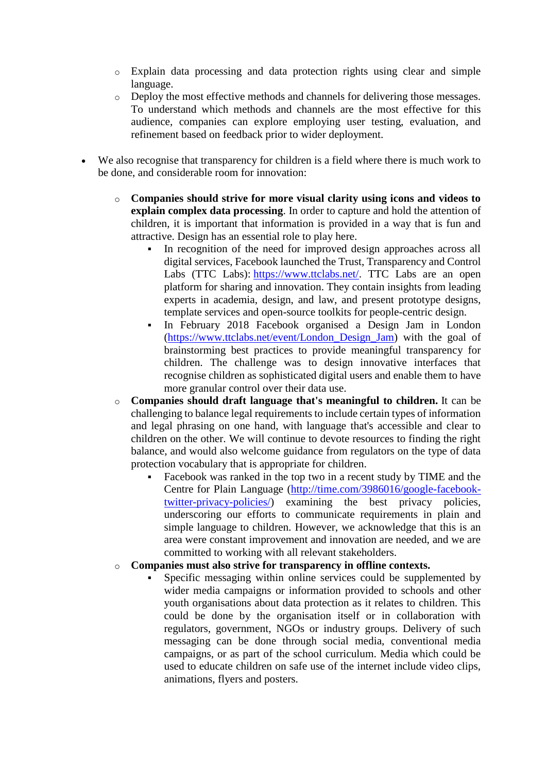- o Explain data processing and data protection rights using clear and simple language.
- o Deploy the most effective methods and channels for delivering those messages. To understand which methods and channels are the most effective for this audience, companies can explore employing user testing, evaluation, and refinement based on feedback prior to wider deployment.
- We also recognise that transparency for children is a field where there is much work to be done, and considerable room for innovation:
	- o **Companies should strive for more visual clarity using icons and videos to explain complex data processing**. In order to capture and hold the attention of children, it is important that information is provided in a way that is fun and attractive. Design has an essential role to play here.
		- In recognition of the need for improved design approaches across all digital services, Facebook launched the Trust, Transparency and Control Labs (TTC Labs): [https://www.ttclabs.net/.](https://www.ttclabs.net/) TTC Labs are an open platform for sharing and innovation. They contain insights from leading experts in academia, design, and law, and present prototype designs, template services and open-source toolkits for people-centric design.
		- In February 2018 Facebook organised a Design Jam in London [\(https://www.ttclabs.net/event/London\\_Design\\_Jam\)](https://www.ttclabs.net/event/London_Design_Jam) with the goal of brainstorming best practices to provide meaningful transparency for children. The challenge was to design innovative interfaces that recognise children as sophisticated digital users and enable them to have more granular control over their data use.
	- o **Companies should draft language that's meaningful to children.** It can be challenging to balance legal requirements to include certain types of information and legal phrasing on one hand, with language that's accessible and clear to children on the other. We will continue to devote resources to finding the right balance, and would also welcome guidance from regulators on the type of data protection vocabulary that is appropriate for children.
		- Facebook was ranked in the top two in a recent study by TIME and the Centre for Plain Language [\(http://time.com/3986016/google-facebook](http://time.com/3986016/google-facebook-twitter-privacy-policies/)[twitter-privacy-policies/\)](http://time.com/3986016/google-facebook-twitter-privacy-policies/) examining the best privacy policies, underscoring our efforts to communicate requirements in plain and simple language to children. However, we acknowledge that this is an area were constant improvement and innovation are needed, and we are committed to working with all relevant stakeholders.
	- o **Companies must also strive for transparency in offline contexts.**
		- Specific messaging within online services could be supplemented by wider media campaigns or information provided to schools and other youth organisations about data protection as it relates to children. This could be done by the organisation itself or in collaboration with regulators, government, NGOs or industry groups. Delivery of such messaging can be done through social media, conventional media campaigns, or as part of the school curriculum. Media which could be used to educate children on safe use of the internet include video clips, animations, flyers and posters.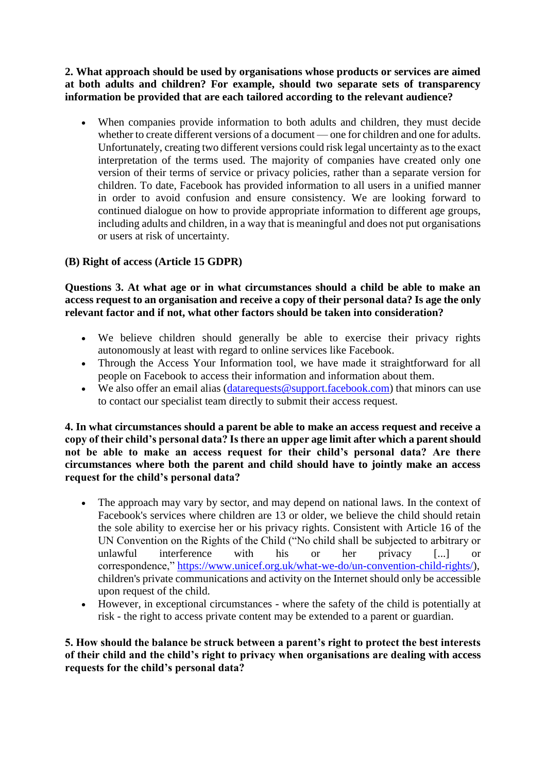**2. What approach should be used by organisations whose products or services are aimed at both adults and children? For example, should two separate sets of transparency information be provided that are each tailored according to the relevant audience?**

 When companies provide information to both adults and children, they must decide whether to create different versions of a document — one for children and one for adults. Unfortunately, creating two different versions could risk legal uncertainty as to the exact interpretation of the terms used. The majority of companies have created only one version of their terms of service or privacy policies, rather than a separate version for children. To date, Facebook has provided information to all users in a unified manner in order to avoid confusion and ensure consistency. We are looking forward to continued dialogue on how to provide appropriate information to different age groups, including adults and children, in a way that is meaningful and does not put organisations or users at risk of uncertainty.

## **(B) Right of access (Article 15 GDPR)**

#### **Questions 3. At what age or in what circumstances should a child be able to make an access request to an organisation and receive a copy of their personal data? Is age the only relevant factor and if not, what other factors should be taken into consideration?**

- We believe children should generally be able to exercise their privacy rights autonomously at least with regard to online services like Facebook.
- Through the Access Your Information tool, we have made it straightforward for all people on Facebook to access their information and information about them.
- We also offer an email alias (datarequests @support.facebook.com) that minors can use to contact our specialist team directly to submit their access request.

#### **4. In what circumstances should a parent be able to make an access request and receive a copy of their child's personal data? Is there an upper age limit after which a parent should not be able to make an access request for their child's personal data? Are there circumstances where both the parent and child should have to jointly make an access request for the child's personal data?**

- The approach may vary by sector, and may depend on national laws. In the context of Facebook's services where children are 13 or older, we believe the child should retain the sole ability to exercise her or his privacy rights. Consistent with Article 16 of the UN Convention on the Rights of the Child ("No child shall be subjected to arbitrary or unlawful interference with his or her privacy [...] or correspondence," [https://www.unicef.org.uk/what-we-do/un-convention-child-rights/\)](https://www.unicef.org.uk/what-we-do/un-convention-child-rights/), children's private communications and activity on the Internet should only be accessible upon request of the child.
- However, in exceptional circumstances where the safety of the child is potentially at risk - the right to access private content may be extended to a parent or guardian.

#### **5. How should the balance be struck between a parent's right to protect the best interests of their child and the child's right to privacy when organisations are dealing with access requests for the child's personal data?**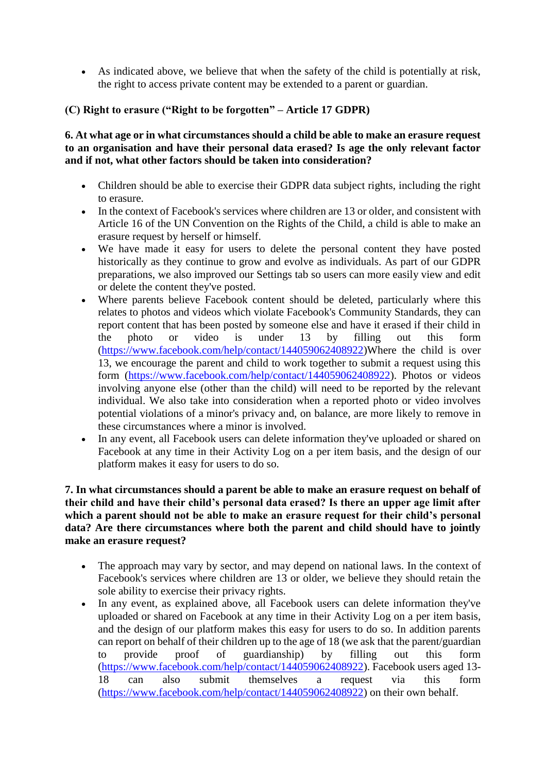As indicated above, we believe that when the safety of the child is potentially at risk, the right to access private content may be extended to a parent or guardian.

### **(C) Right to erasure ("Right to be forgotten" – Article 17 GDPR)**

**6. At what age or in what circumstances should a child be able to make an erasure request to an organisation and have their personal data erased? Is age the only relevant factor and if not, what other factors should be taken into consideration?**

- Children should be able to exercise their GDPR data subject rights, including the right to erasure.
- In the context of Facebook's services where children are 13 or older, and consistent with Article 16 of the UN Convention on the Rights of the Child, a child is able to make an erasure request by herself or himself.
- We have made it easy for users to delete the personal content they have posted historically as they continue to grow and evolve as individuals. As part of our GDPR preparations, we also improved our Settings tab so users can more easily view and edit or delete the content they've posted.
- Where parents believe Facebook content should be deleted, particularly where this relates to photos and videos which violate Facebook's Community Standards, they can report content that has been posted by someone else and have it erased if their child in the photo or video is under 13 by filling out this form [\(https://www.facebook.com/help/contact/144059062408922\)](https://www.facebook.com/help/contact/144059062408922Where)Where the child is over 13, we encourage the parent and child to work together to submit a request using this form [\(https://www.facebook.com/help/contact/144059062408922\)](https://www.facebook.com/help/contact/144059062408922). Photos or videos involving anyone else (other than the child) will need to be reported by the relevant individual. We also take into consideration when a reported photo or video involves potential violations of a minor's privacy and, on balance, are more likely to remove in these circumstances where a minor is involved.
- In any event, all Facebook users can delete information they've uploaded or shared on Facebook at any time in their Activity Log on a per item basis, and the design of our platform makes it easy for users to do so.

#### **7. In what circumstances should a parent be able to make an erasure request on behalf of their child and have their child's personal data erased? Is there an upper age limit after which a parent should not be able to make an erasure request for their child's personal data? Are there circumstances where both the parent and child should have to jointly make an erasure request?**

- The approach may vary by sector, and may depend on national laws. In the context of Facebook's services where children are 13 or older, we believe they should retain the sole ability to exercise their privacy rights.
- In any event, as explained above, all Facebook users can delete information they've uploaded or shared on Facebook at any time in their Activity Log on a per item basis, and the design of our platform makes this easy for users to do so. In addition parents can report on behalf of their children up to the age of 18 (we ask that the parent/guardian to provide proof of guardianship) by filling out this form [\(https://www.facebook.com/help/contact/144059062408922\)](https://www.facebook.com/help/contact/144059062408922). Facebook users aged 13- 18 can also submit themselves a request via this form [\(https://www.facebook.com/help/contact/144059062408922\)](https://www.facebook.com/help/contact/144059062408922) on their own behalf.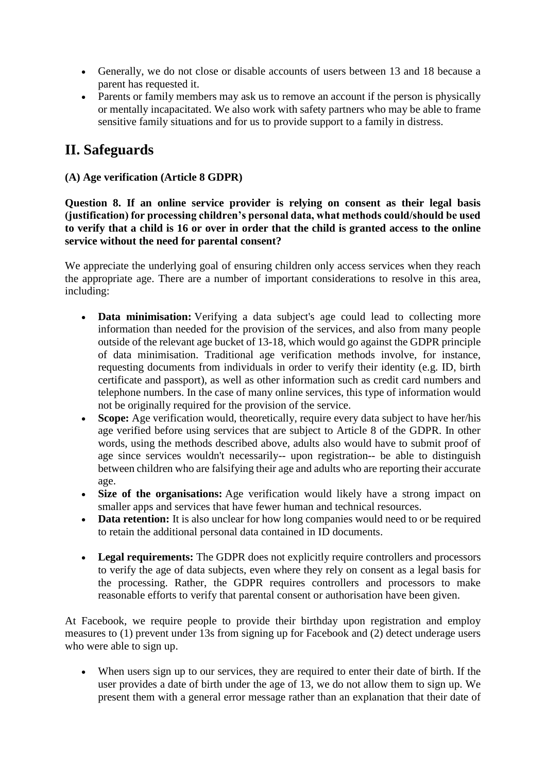- Generally, we do not close or disable accounts of users between 13 and 18 because a parent has requested it.
- Parents or family members may ask us to remove an account if the person is physically or mentally incapacitated. We also work with safety partners who may be able to frame sensitive family situations and for us to provide support to a family in distress.

# **II. Safeguards**

**(A) Age verification (Article 8 GDPR)**

**Question 8. If an online service provider is relying on consent as their legal basis (justification) for processing children's personal data, what methods could/should be used to verify that a child is 16 or over in order that the child is granted access to the online service without the need for parental consent?**

We appreciate the underlying goal of ensuring children only access services when they reach the appropriate age. There are a number of important considerations to resolve in this area, including:

- **Data minimisation:** Verifying a data subject's age could lead to collecting more information than needed for the provision of the services, and also from many people outside of the relevant age bucket of 13-18, which would go against the GDPR principle of data minimisation. Traditional age verification methods involve, for instance, requesting documents from individuals in order to verify their identity (e.g. ID, birth certificate and passport), as well as other information such as credit card numbers and telephone numbers. In the case of many online services, this type of information would not be originally required for the provision of the service.
- **Scope:** Age verification would, theoretically, require every data subject to have her/his age verified before using services that are subject to Article 8 of the GDPR. In other words, using the methods described above, adults also would have to submit proof of age since services wouldn't necessarily-- upon registration-- be able to distinguish between children who are falsifying their age and adults who are reporting their accurate age.
- **Size of the organisations:** Age verification would likely have a strong impact on smaller apps and services that have fewer human and technical resources.
- **Data retention:** It is also unclear for how long companies would need to or be required to retain the additional personal data contained in ID documents.
- **Legal requirements:** The GDPR does not explicitly require controllers and processors to verify the age of data subjects, even where they rely on consent as a legal basis for the processing. Rather, the GDPR requires controllers and processors to make reasonable efforts to verify that parental consent or authorisation have been given.

At Facebook, we require people to provide their birthday upon registration and employ measures to (1) prevent under 13s from signing up for Facebook and (2) detect underage users who were able to sign up.

 When users sign up to our services, they are required to enter their date of birth. If the user provides a date of birth under the age of 13, we do not allow them to sign up. We present them with a general error message rather than an explanation that their date of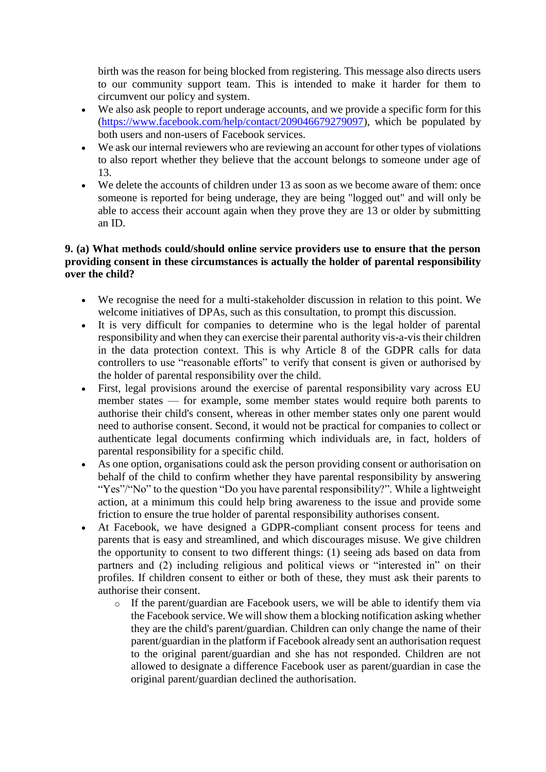birth was the reason for being blocked from registering. This message also directs users to our community support team. This is intended to make it harder for them to circumvent our policy and system.

- We also ask people to report underage accounts, and we provide a specific form for this [\(https://www.facebook.com/help/contact/209046679279097\)](https://www.facebook.com/help/contact/209046679279097), which be populated by both users and non-users of Facebook services.
- We ask our internal reviewers who are reviewing an account for other types of violations to also report whether they believe that the account belongs to someone under age of 13.
- We delete the accounts of children under 13 as soon as we become aware of them: once someone is reported for being underage, they are being "logged out" and will only be able to access their account again when they prove they are 13 or older by submitting an ID.

#### **9. (a) What methods could/should online service providers use to ensure that the person providing consent in these circumstances is actually the holder of parental responsibility over the child?**

- We recognise the need for a multi-stakeholder discussion in relation to this point. We welcome initiatives of DPAs, such as this consultation, to prompt this discussion.
- It is very difficult for companies to determine who is the legal holder of parental responsibility and when they can exercise their parental authority vis-a-vis their children in the data protection context. This is why Article 8 of the GDPR calls for data controllers to use "reasonable efforts" to verify that consent is given or authorised by the holder of parental responsibility over the child.
- First, legal provisions around the exercise of parental responsibility vary across EU member states — for example, some member states would require both parents to authorise their child's consent, whereas in other member states only one parent would need to authorise consent. Second, it would not be practical for companies to collect or authenticate legal documents confirming which individuals are, in fact, holders of parental responsibility for a specific child.
- As one option, organisations could ask the person providing consent or authorisation on behalf of the child to confirm whether they have parental responsibility by answering "Yes"/"No" to the question "Do you have parental responsibility?". While a lightweight action, at a minimum this could help bring awareness to the issue and provide some friction to ensure the true holder of parental responsibility authorises consent.
- At Facebook, we have designed a GDPR-compliant consent process for teens and parents that is easy and streamlined, and which discourages misuse. We give children the opportunity to consent to two different things: (1) seeing ads based on data from partners and (2) including religious and political views or "interested in" on their profiles. If children consent to either or both of these, they must ask their parents to authorise their consent.
	- o If the parent/guardian are Facebook users, we will be able to identify them via the Facebook service. We will show them a blocking notification asking whether they are the child's parent/guardian. Children can only change the name of their parent/guardian in the platform if Facebook already sent an authorisation request to the original parent/guardian and she has not responded. Children are not allowed to designate a difference Facebook user as parent/guardian in case the original parent/guardian declined the authorisation.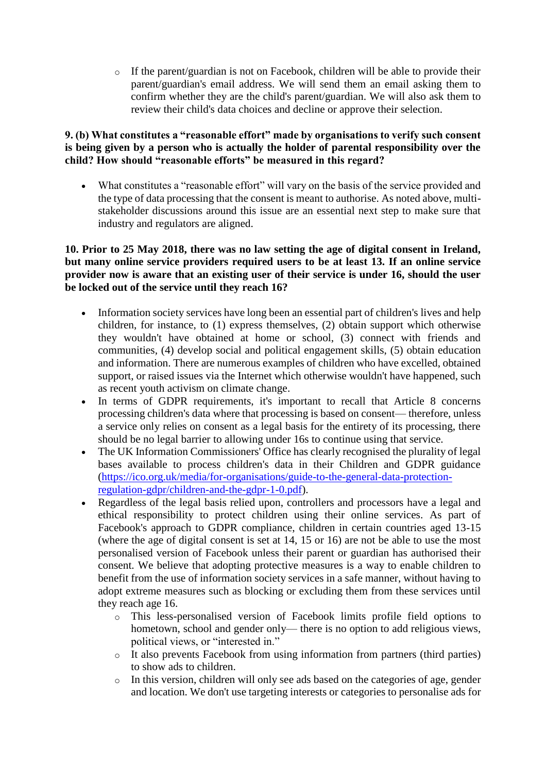o If the parent/guardian is not on Facebook, children will be able to provide their parent/guardian's email address. We will send them an email asking them to confirm whether they are the child's parent/guardian. We will also ask them to review their child's data choices and decline or approve their selection.

#### **9. (b) What constitutes a "reasonable effort" made by organisations to verify such consent is being given by a person who is actually the holder of parental responsibility over the child? How should "reasonable efforts" be measured in this regard?**

 What constitutes a "reasonable effort" will vary on the basis of the service provided and the type of data processing that the consent is meant to authorise. As noted above, multistakeholder discussions around this issue are an essential next step to make sure that industry and regulators are aligned.

#### **10. Prior to 25 May 2018, there was no law setting the age of digital consent in Ireland, but many online service providers required users to be at least 13. If an online service provider now is aware that an existing user of their service is under 16, should the user be locked out of the service until they reach 16?**

- Information society services have long been an essential part of children's lives and help children, for instance, to (1) express themselves, (2) obtain support which otherwise they wouldn't have obtained at home or school, (3) connect with friends and communities, (4) develop social and political engagement skills, (5) obtain education and information. There are numerous examples of children who have excelled, obtained support, or raised issues via the Internet which otherwise wouldn't have happened, such as recent youth activism on climate change.
- In terms of GDPR requirements, it's important to recall that Article 8 concerns processing children's data where that processing is based on consent— therefore, unless a service only relies on consent as a legal basis for the entirety of its processing, there should be no legal barrier to allowing under 16s to continue using that service.
- The UK Information Commissioners' Office has clearly recognised the plurality of legal bases available to process children's data in their Children and GDPR guidance [\(https://ico.org.uk/media/for-organisations/guide-to-the-general-data-protection](https://ico.org.uk/media/for-organisations/guide-to-the-general-data-protection-regulation-gdpr/children-and-the-gdpr-1-0.pdf)[regulation-gdpr/children-and-the-gdpr-1-0.pdf\)](https://ico.org.uk/media/for-organisations/guide-to-the-general-data-protection-regulation-gdpr/children-and-the-gdpr-1-0.pdf).
- Regardless of the legal basis relied upon, controllers and processors have a legal and ethical responsibility to protect children using their online services. As part of Facebook's approach to GDPR compliance, children in certain countries aged 13-15 (where the age of digital consent is set at 14, 15 or 16) are not be able to use the most personalised version of Facebook unless their parent or guardian has authorised their consent. We believe that adopting protective measures is a way to enable children to benefit from the use of information society services in a safe manner, without having to adopt extreme measures such as blocking or excluding them from these services until they reach age 16.
	- o This less-personalised version of Facebook limits profile field options to hometown, school and gender only— there is no option to add religious views, political views, or "interested in."
	- o It also prevents Facebook from using information from partners (third parties) to show ads to children.
	- o In this version, children will only see ads based on the categories of age, gender and location. We don't use targeting interests or categories to personalise ads for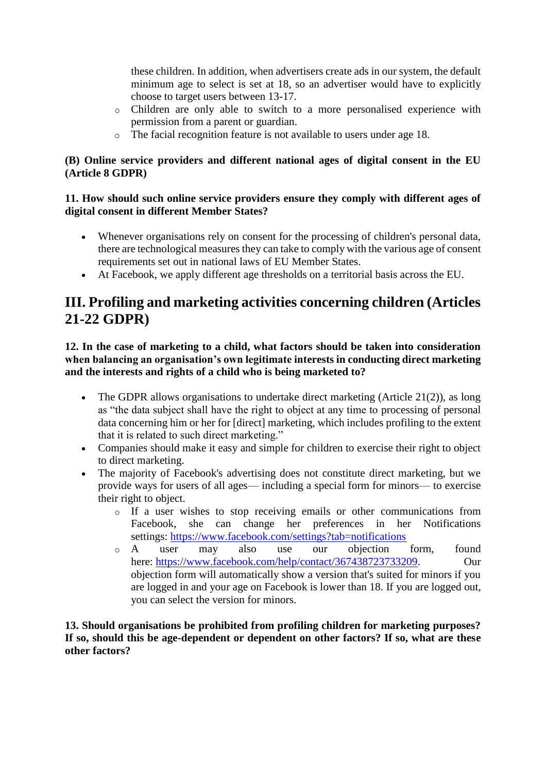these children. In addition, when advertisers create ads in our system, the default minimum age to select is set at 18, so an advertiser would have to explicitly choose to target users between 13-17.

- o Children are only able to switch to a more personalised experience with permission from a parent or guardian.
- o The facial recognition feature is not available to users under age 18.

## **(B) Online service providers and different national ages of digital consent in the EU (Article 8 GDPR)**

### **11. How should such online service providers ensure they comply with different ages of digital consent in different Member States?**

- Whenever organisations rely on consent for the processing of children's personal data, there are technological measures they can take to comply with the various age of consent requirements set out in national laws of EU Member States.
- At Facebook, we apply different age thresholds on a territorial basis across the EU.

# **III. Profiling and marketing activities concerning children (Articles 21-22 GDPR)**

**12. In the case of marketing to a child, what factors should be taken into consideration when balancing an organisation's own legitimate interests in conducting direct marketing and the interests and rights of a child who is being marketed to?**

- The GDPR allows organisations to undertake direct marketing (Article 21(2)), as long as "the data subject shall have the right to object at any time to processing of personal data concerning him or her for [direct] marketing, which includes profiling to the extent that it is related to such direct marketing."
- Companies should make it easy and simple for children to exercise their right to object to direct marketing.
- The majority of Facebook's advertising does not constitute direct marketing, but we provide ways for users of all ages— including a special form for minors— to exercise their right to object.
	- o If a user wishes to stop receiving emails or other communications from Facebook, she can change her preferences in her Notifications settings: <https://www.facebook.com/settings?tab=notifications>
	- o A user may also use our objection form, found here: [https://www.facebook.com/help/contact/367438723733209.](https://www.facebook.com/help/contact/367438723733209) Our objection form will automatically show a version that's suited for minors if you are logged in and your age on Facebook is lower than 18. If you are logged out, you can select the version for minors.

**13. Should organisations be prohibited from profiling children for marketing purposes? If so, should this be age-dependent or dependent on other factors? If so, what are these other factors?**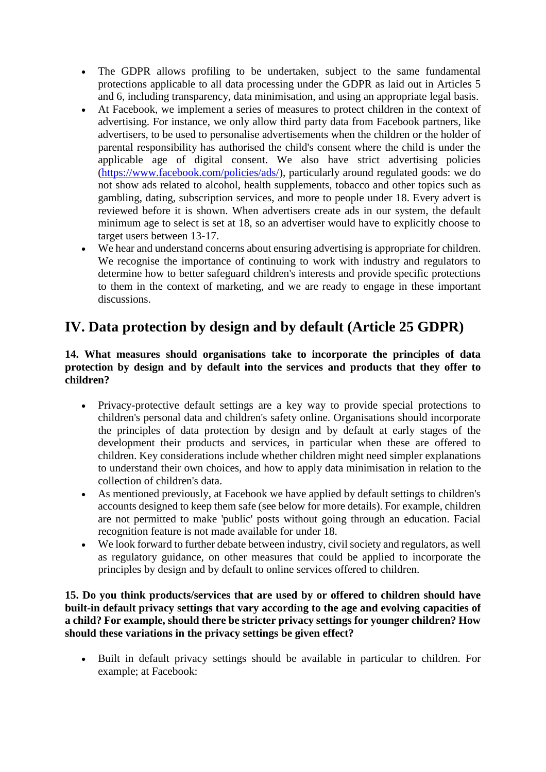- The GDPR allows profiling to be undertaken, subject to the same fundamental protections applicable to all data processing under the GDPR as laid out in Articles 5 and 6, including transparency, data minimisation, and using an appropriate legal basis.
- At Facebook, we implement a series of measures to protect children in the context of advertising. For instance, we only allow third party data from Facebook partners, like advertisers, to be used to personalise advertisements when the children or the holder of parental responsibility has authorised the child's consent where the child is under the applicable age of digital consent. We also have strict advertising policies [\(https://www.facebook.com/policies/ads/\)](https://www.facebook.com/policies/ads/), particularly around regulated goods: we do not show ads related to alcohol, health supplements, tobacco and other topics such as gambling, dating, subscription services, and more to people under 18. Every advert is reviewed before it is shown. When advertisers create ads in our system, the default minimum age to select is set at 18, so an advertiser would have to explicitly choose to target users between 13-17.
- We hear and understand concerns about ensuring advertising is appropriate for children. We recognise the importance of continuing to work with industry and regulators to determine how to better safeguard children's interests and provide specific protections to them in the context of marketing, and we are ready to engage in these important discussions.

# **IV. Data protection by design and by default (Article 25 GDPR)**

#### **14. What measures should organisations take to incorporate the principles of data protection by design and by default into the services and products that they offer to children?**

- Privacy-protective default settings are a key way to provide special protections to children's personal data and children's safety online. Organisations should incorporate the principles of data protection by design and by default at early stages of the development their products and services, in particular when these are offered to children. Key considerations include whether children might need simpler explanations to understand their own choices, and how to apply data minimisation in relation to the collection of children's data.
- As mentioned previously, at Facebook we have applied by default settings to children's accounts designed to keep them safe (see below for more details). For example, children are not permitted to make 'public' posts without going through an education. Facial recognition feature is not made available for under 18.
- We look forward to further debate between industry, civil society and regulators, as well as regulatory guidance, on other measures that could be applied to incorporate the principles by design and by default to online services offered to children.

**15. Do you think products/services that are used by or offered to children should have built-in default privacy settings that vary according to the age and evolving capacities of a child? For example, should there be stricter privacy settings for younger children? How should these variations in the privacy settings be given effect?**

 Built in default privacy settings should be available in particular to children. For example; at Facebook: